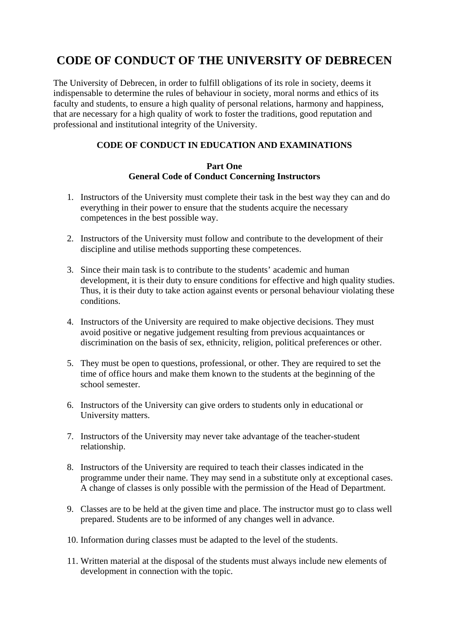# **CODE OF CONDUCT OF THE UNIVERSITY OF DEBRECEN**

The University of Debrecen, in order to fulfill obligations of its role in society, deems it indispensable to determine the rules of behaviour in society, moral norms and ethics of its faculty and students, to ensure a high quality of personal relations, harmony and happiness, that are necessary for a high quality of work to foster the traditions, good reputation and professional and institutional integrity of the University.

## **CODE OF CONDUCT IN EDUCATION AND EXAMINATIONS**

#### **Part One General Code of Conduct Concerning Instructors**

- 1. Instructors of the University must complete their task in the best way they can and do everything in their power to ensure that the students acquire the necessary competences in the best possible way.
- 2. Instructors of the University must follow and contribute to the development of their discipline and utilise methods supporting these competences.
- 3. Since their main task is to contribute to the students' academic and human development, it is their duty to ensure conditions for effective and high quality studies. Thus, it is their duty to take action against events or personal behaviour violating these conditions.
- 4. Instructors of the University are required to make objective decisions. They must avoid positive or negative judgement resulting from previous acquaintances or discrimination on the basis of sex, ethnicity, religion, political preferences or other.
- 5. They must be open to questions, professional, or other. They are required to set the time of office hours and make them known to the students at the beginning of the school semester.
- 6. Instructors of the University can give orders to students only in educational or University matters.
- 7. Instructors of the University may never take advantage of the teacher-student relationship.
- 8. Instructors of the University are required to teach their classes indicated in the programme under their name. They may send in a substitute only at exceptional cases. A change of classes is only possible with the permission of the Head of Department.
- 9. Classes are to be held at the given time and place. The instructor must go to class well prepared. Students are to be informed of any changes well in advance.
- 10. Information during classes must be adapted to the level of the students.
- 11. Written material at the disposal of the students must always include new elements of development in connection with the topic.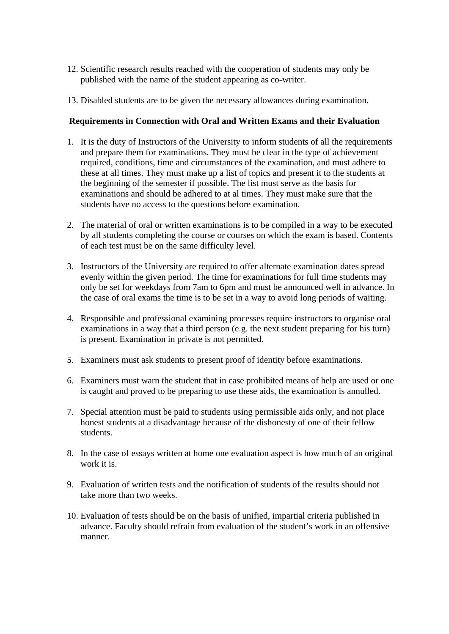- 12. Scientific research results reached with the cooperation of students may only be published with the name of the student appearing as co-writer.
- 13. Disabled students are to be given the necessary allowances during examination.

#### **Requirements in Connection with Oral and Written Exams and their Evaluation**

- 1. It is the duty of Instructors of the University to inform students of all the requirements and prepare them for examinations. They must be clear in the type of achievement required, conditions, time and circumstances of the examination, and must adhere to these at all times. They must make up a list of topics and present it to the students at the beginning of the semester if possible. The list must serve as the basis for examinations and should be adhered to at al times. They must make sure that the students have no access to the questions before examination.
- 2. The material of oral or written examinations is to be compiled in a way to be executed by all students completing the course or courses on which the exam is based. Contents of each test must be on the same difficulty level.
- 3. Instructors of the University are required to offer alternate examination dates spread evenly within the given period. The time for examinations for full time students may only be set for weekdays from 7am to 6pm and must be announced well in advance. In the case of oral exams the time is to be set in a way to avoid long periods of waiting.
- 4. Responsible and professional examining processes require instructors to organise oral examinations in a way that a third person (e.g. the next student preparing for his turn) is present. Examination in private is not permitted.
- 5. Examiners must ask students to present proof of identity before examinations.
- 6. Examiners must warn the student that in case prohibited means of help are used or one is caught and proved to be preparing to use these aids, the examination is annulled.
- 7. Special attention must be paid to students using permissible aids only, and not place honest students at a disadvantage because of the dishonesty of one of their fellow students.
- 8. In the case of essays written at home one evaluation aspect is how much of an original work it is.
- 9. Evaluation of written tests and the notification of students of the results should not take more than two weeks.
- 10. Evaluation of tests should be on the basis of unified, impartial criteria published in advance. Faculty should refrain from evaluation of the student's work in an offensive manner.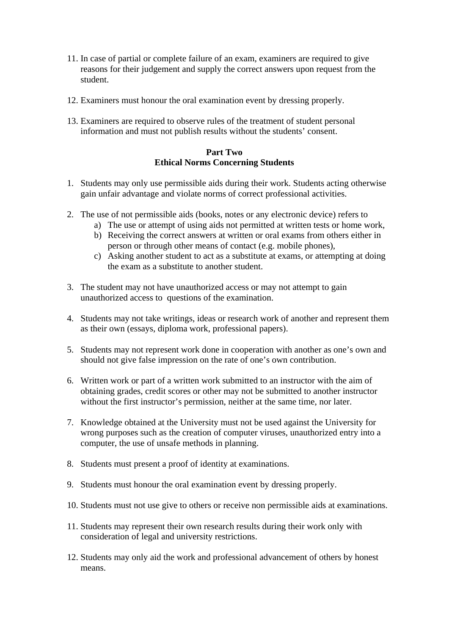- 11. In case of partial or complete failure of an exam, examiners are required to give reasons for their judgement and supply the correct answers upon request from the student.
- 12. Examiners must honour the oral examination event by dressing properly.
- 13. Examiners are required to observe rules of the treatment of student personal information and must not publish results without the students' consent.

#### **Part Two Ethical Norms Concerning Students**

- 1. Students may only use permissible aids during their work. Students acting otherwise gain unfair advantage and violate norms of correct professional activities.
- 2. The use of not permissible aids (books, notes or any electronic device) refers to
	- a) The use or attempt of using aids not permitted at written tests or home work,
	- b) Receiving the correct answers at written or oral exams from others either in person or through other means of contact (e.g. mobile phones),
	- c) Asking another student to act as a substitute at exams, or attempting at doing the exam as a substitute to another student.
- 3. The student may not have unauthorized access or may not attempt to gain unauthorized access to questions of the examination.
- 4. Students may not take writings, ideas or research work of another and represent them as their own (essays, diploma work, professional papers).
- 5. Students may not represent work done in cooperation with another as one's own and should not give false impression on the rate of one's own contribution.
- 6. Written work or part of a written work submitted to an instructor with the aim of obtaining grades, credit scores or other may not be submitted to another instructor without the first instructor's permission, neither at the same time, nor later.
- 7. Knowledge obtained at the University must not be used against the University for wrong purposes such as the creation of computer viruses, unauthorized entry into a computer, the use of unsafe methods in planning.
- 8. Students must present a proof of identity at examinations.
- 9. Students must honour the oral examination event by dressing properly.
- 10. Students must not use give to others or receive non permissible aids at examinations.
- 11. Students may represent their own research results during their work only with consideration of legal and university restrictions.
- 12. Students may only aid the work and professional advancement of others by honest means.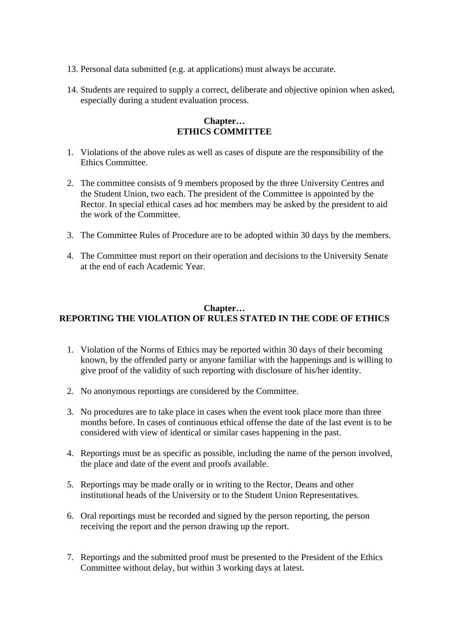- 13. Personal data submitted (e.g. at applications) must always be accurate.
- 14. Students are required to supply a correct, deliberate and objective opinion when asked, especially during a student evaluation process.

#### **Chapter… ETHICS COMMITTEE**

- 1. Violations of the above rules as well as cases of dispute are the responsibility of the Ethics Committee.
- 2. The committee consists of 9 members proposed by the three University Centres and the Student Union, two each. The president of the Committee is appointed by the Rector. In special ethical cases ad hoc members may be asked by the president to aid the work of the Committee.
- 3. The Committee Rules of Procedure are to be adopted within 30 days by the members.
- 4. The Committee must report on their operation and decisions to the University Senate at the end of each Academic Year.

### **Chapter… REPORTING THE VIOLATION OF RULES STATED IN THE CODE OF ETHICS**

- 1. Violation of the Norms of Ethics may be reported within 30 days of their becoming known, by the offended party or anyone familiar with the happenings and is willing to give proof of the validity of such reporting with disclosure of his/her identity.
- 2. No anonymous reportings are considered by the Committee.
- 3. No procedures are to take place in cases when the event took place more than three months before. In cases of continuous ethical offense the date of the last event is to be considered with view of identical or similar cases happening in the past.
- 4. Reportings must be as specific as possible, including the name of the person involved, the place and date of the event and proofs available.
- 5. Reportings may be made orally or in writing to the Rector, Deans and other institutional heads of the University or to the Student Union Representatives.
- 6. Oral reportings must be recorded and signed by the person reporting, the person receiving the report and the person drawing up the report.
- 7. Reportings and the submitted proof must be presented to the President of the Ethics Committee without delay, but within 3 working days at latest.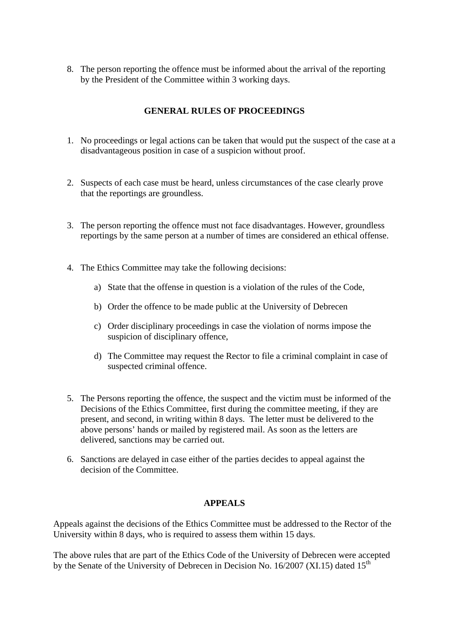8. The person reporting the offence must be informed about the arrival of the reporting by the President of the Committee within 3 working days.

## **GENERAL RULES OF PROCEEDINGS**

- 1. No proceedings or legal actions can be taken that would put the suspect of the case at a disadvantageous position in case of a suspicion without proof.
- 2. Suspects of each case must be heard, unless circumstances of the case clearly prove that the reportings are groundless.
- 3. The person reporting the offence must not face disadvantages. However, groundless reportings by the same person at a number of times are considered an ethical offense.
- 4. The Ethics Committee may take the following decisions:
	- a) State that the offense in question is a violation of the rules of the Code,
	- b) Order the offence to be made public at the University of Debrecen
	- c) Order disciplinary proceedings in case the violation of norms impose the suspicion of disciplinary offence,
	- d) The Committee may request the Rector to file a criminal complaint in case of suspected criminal offence.
- 5. The Persons reporting the offence, the suspect and the victim must be informed of the Decisions of the Ethics Committee, first during the committee meeting, if they are present, and second, in writing within 8 days. The letter must be delivered to the above persons' hands or mailed by registered mail. As soon as the letters are delivered, sanctions may be carried out.
- 6. Sanctions are delayed in case either of the parties decides to appeal against the decision of the Committee.

#### **APPEALS**

Appeals against the decisions of the Ethics Committee must be addressed to the Rector of the University within 8 days, who is required to assess them within 15 days.

The above rules that are part of the Ethics Code of the University of Debrecen were accepted by the Senate of the University of Debrecen in Decision No.  $16/2007$  (XI.15) dated  $15<sup>th</sup>$